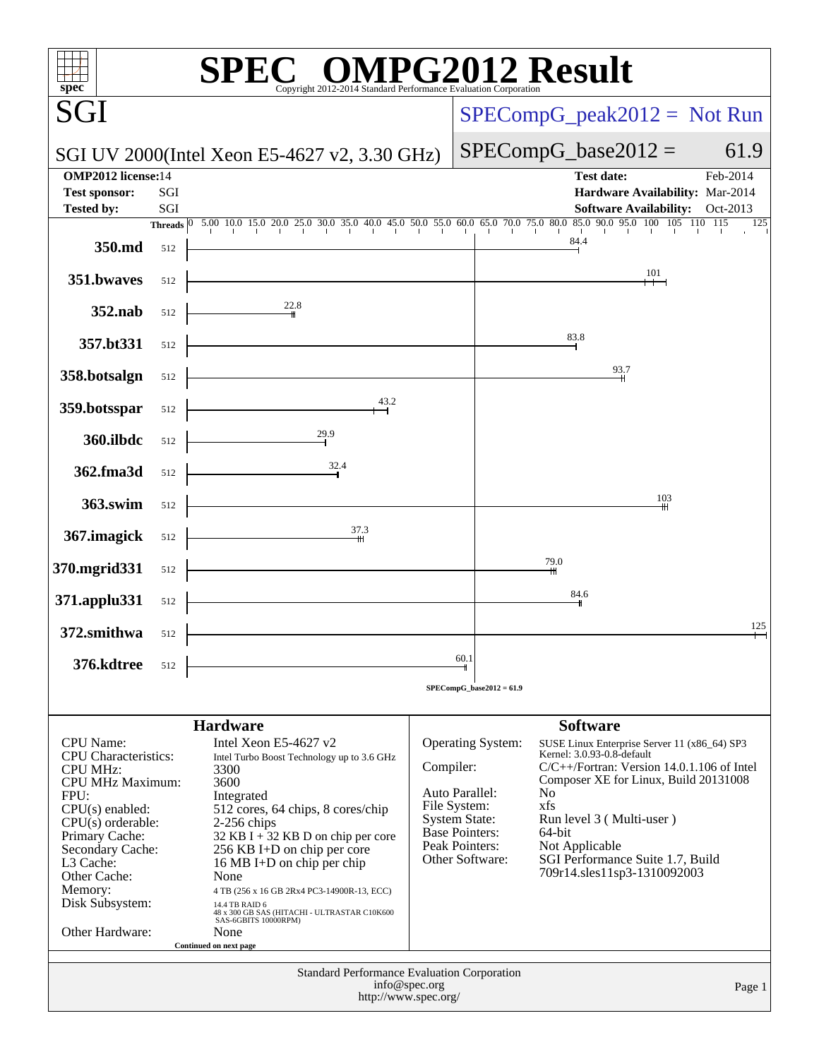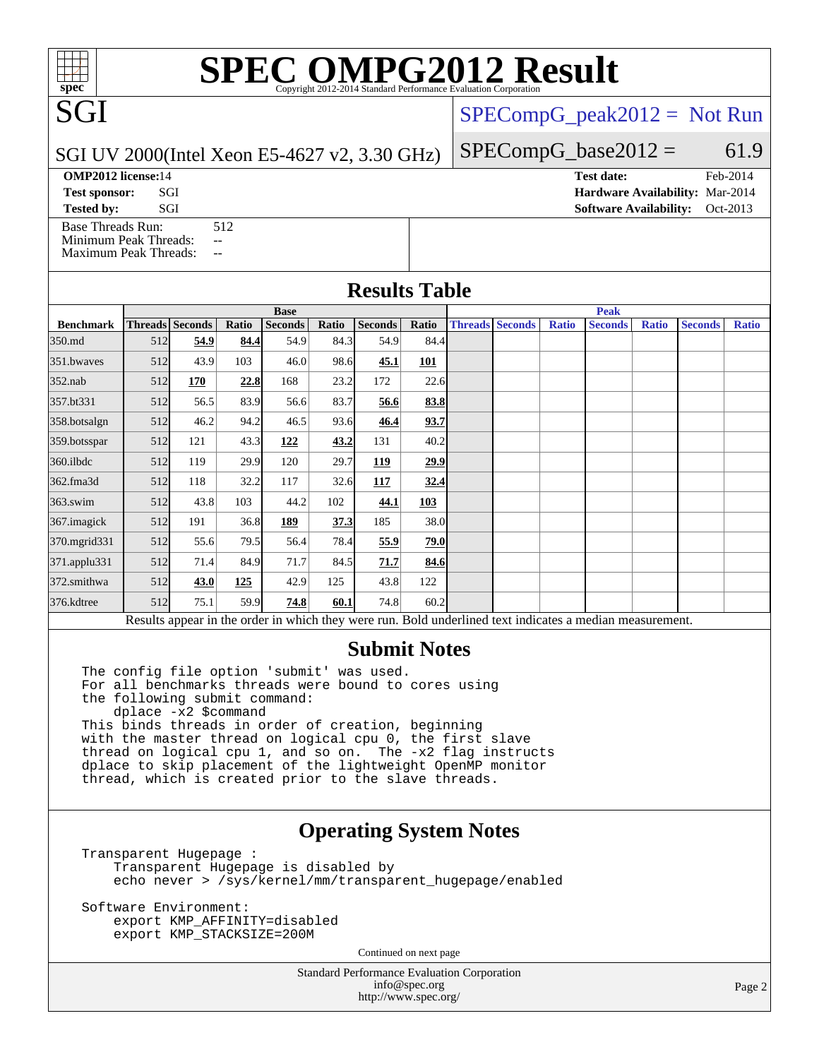# **[SPEC OMPG2012 Result](http://www.spec.org/auto/omp2012/Docs/result-fields.html#SPECOMPG2012Result)**

 $SPECompG_peak2012 = Not Run$  $SPECompG_peak2012 = Not Run$ 

[SPECompG\\_base2012 =](http://www.spec.org/auto/omp2012/Docs/result-fields.html#SPECompGbase2012)  $61.9$ 

SGI UV 2000(Intel Xeon E5-4627 v2, 3.30 GHz)

[Base Threads Run:](http://www.spec.org/auto/omp2012/Docs/result-fields.html#BaseThreadsRun) 512

[Minimum Peak Threads:](http://www.spec.org/auto/omp2012/Docs/result-fields.html#MinimumPeakThreads) --[Maximum Peak Threads:](http://www.spec.org/auto/omp2012/Docs/result-fields.html#MaximumPeakThreads) --

| $101 \text{ C}$ $\ell$ 2000 (Thin AVOII L) $102 \ell$ $\ell$ , $2.50 \text{ OHz}$ |                                        |          |
|-----------------------------------------------------------------------------------|----------------------------------------|----------|
| <b>OMP2012 license:14</b>                                                         | Test date:                             | Feb-2014 |
| <b>Test sponsor:</b><br>SGI                                                       | <b>Hardware Availability: Mar-2014</b> |          |

**[Tested by:](http://www.spec.org/auto/omp2012/Docs/result-fields.html#Testedby)** SGI SOL SERVICE SERVICE SERVICE SERVICE SERVICE SERVICE SERVICE SERVICE SERVICE SERVICE SERVICE SERVICE SERVICE SERVICE SERVICE SERVICE SERVICE SERVICE SERVICE SERVICE SERVICE SERVICE SERVICE SERVICE SERVICE S

### **[Results Table](http://www.spec.org/auto/omp2012/Docs/result-fields.html#ResultsTable)**

|                                                                                                          |     | <b>Base</b>     |       |                |       |                |       |  |                        | <b>Peak</b>  |                |              |                |              |  |  |
|----------------------------------------------------------------------------------------------------------|-----|-----------------|-------|----------------|-------|----------------|-------|--|------------------------|--------------|----------------|--------------|----------------|--------------|--|--|
| <b>Benchmark</b>                                                                                         |     | Threads Seconds | Ratio | <b>Seconds</b> | Ratio | <b>Seconds</b> | Ratio |  | <b>Threads Seconds</b> | <b>Ratio</b> | <b>Seconds</b> | <b>Ratio</b> | <b>Seconds</b> | <b>Ratio</b> |  |  |
| 350.md                                                                                                   | 512 | 54.9            | 84.4  | 54.9           | 84.3  | 54.9           | 84.4  |  |                        |              |                |              |                |              |  |  |
| 351.bwaves                                                                                               | 512 | 43.9            | 103   | 46.0           | 98.6  | 45.1           | 101   |  |                        |              |                |              |                |              |  |  |
| $352$ .nab                                                                                               | 512 | 170             | 22.8  | 168            | 23.2  | 172            | 22.6  |  |                        |              |                |              |                |              |  |  |
| 357.bt331                                                                                                | 512 | 56.5            | 83.9  | 56.6           | 83.7  | 56.6           | 83.8  |  |                        |              |                |              |                |              |  |  |
| 358.botsalgn                                                                                             | 512 | 46.2            | 94.2  | 46.5           | 93.6  | 46.4           | 93.7  |  |                        |              |                |              |                |              |  |  |
| 359.botsspar                                                                                             | 512 | 121             | 43.3  | 122            | 43.2  | 131            | 40.2  |  |                        |              |                |              |                |              |  |  |
| $360$ .ilbdc                                                                                             | 512 | 119             | 29.9  | 120            | 29.7  | 119            | 29.9  |  |                        |              |                |              |                |              |  |  |
| 362.fma3d                                                                                                | 512 | 118             | 32.2  | 117            | 32.6  | 117            | 32.4  |  |                        |              |                |              |                |              |  |  |
| $363$ .swim                                                                                              | 512 | 43.8            | 103   | 44.2           | 102   | 44.1           | 103   |  |                        |              |                |              |                |              |  |  |
| 367.imagick                                                                                              | 512 | 191             | 36.8  | 189            | 37.3  | 185            | 38.0  |  |                        |              |                |              |                |              |  |  |
| 370.mgrid331                                                                                             | 512 | 55.6            | 79.5  | 56.4           | 78.4  | 55.9           | 79.0  |  |                        |              |                |              |                |              |  |  |
| 371.applu331                                                                                             | 512 | 71.4            | 84.9  | 71.7           | 84.5  | 71.7           | 84.6  |  |                        |              |                |              |                |              |  |  |
| 372.smithwa                                                                                              | 512 | 43.0            | 125   | 42.9           | 125   | 43.8           | 122   |  |                        |              |                |              |                |              |  |  |
| 376.kdtree                                                                                               | 512 | 75.1            | 59.9  | 74.8           | 60.1  | 74.8           | 60.2  |  |                        |              |                |              |                |              |  |  |
| Results appear in the order in which they were run. Bold underlined text indicates a median measurement. |     |                 |       |                |       |                |       |  |                        |              |                |              |                |              |  |  |

### **[Submit Notes](http://www.spec.org/auto/omp2012/Docs/result-fields.html#SubmitNotes)**

The config file option 'submit' was used. For all benchmarks threads were bound to cores using the following submit command: dplace -x2 \$command This binds threads in order of creation, beginning with the master thread on logical cpu 0, the first slave thread on logical cpu 1, and so on. The -x2 flag instructs dplace to skip placement of the lightweight OpenMP monitor thread, which is created prior to the slave threads.

## **[Operating System Notes](http://www.spec.org/auto/omp2012/Docs/result-fields.html#OperatingSystemNotes)**

Transparent Hugepage : Transparent Hugepage is disabled by echo never > /sys/kernel/mm/transparent\_hugepage/enabled

Software Environment: export KMP\_AFFINITY=disabled export KMP\_STACKSIZE=200M

Continued on next page

Standard Performance Evaluation Corporation [info@spec.org](mailto:info@spec.org) <http://www.spec.org/>

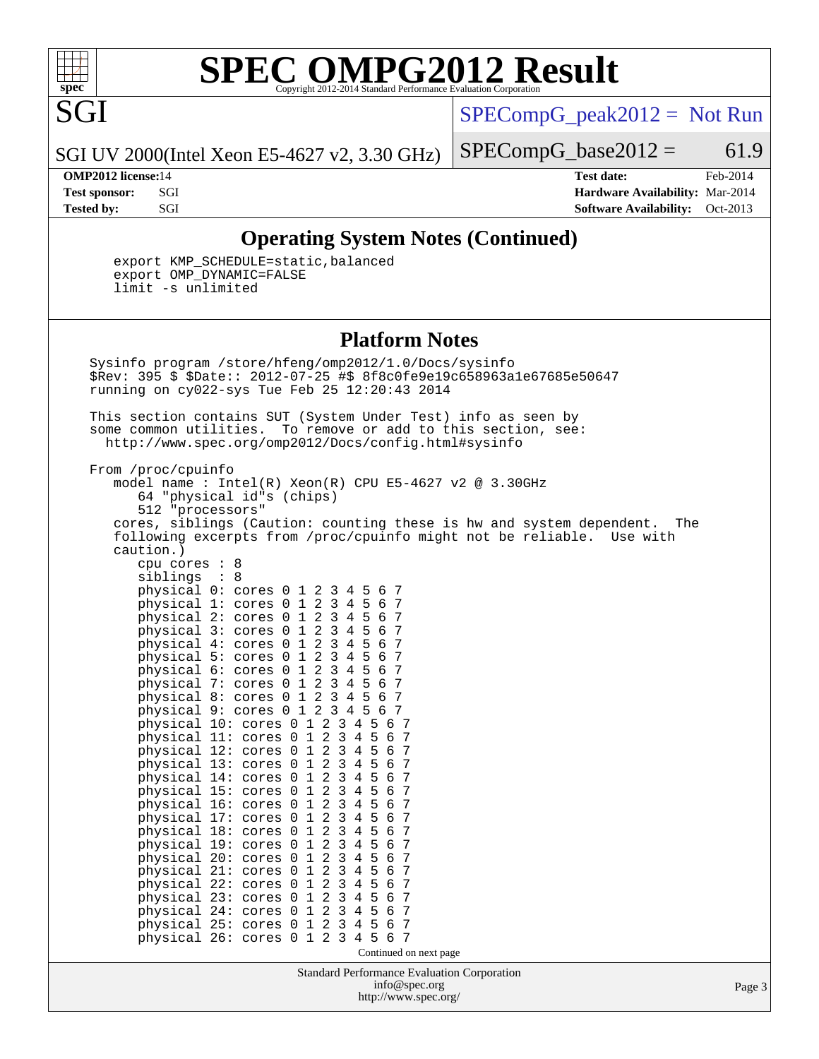

SGI

# **[SPEC OMPG2012 Result](http://www.spec.org/auto/omp2012/Docs/result-fields.html#SPECOMPG2012Result)**

 $SPECompG_peak2012 = Not Run$  $SPECompG_peak2012 = Not Run$ 

SGI UV 2000(Intel Xeon E5-4627 v2, 3.30 GHz)

 $SPECompG_base2012 = 61.9$  $SPECompG_base2012 = 61.9$ 

**[OMP2012 license:](http://www.spec.org/auto/omp2012/Docs/result-fields.html#OMP2012license)**14 **[Test date:](http://www.spec.org/auto/omp2012/Docs/result-fields.html#Testdate)** Feb-2014 **[Test sponsor:](http://www.spec.org/auto/omp2012/Docs/result-fields.html#Testsponsor)** SGI **[Hardware Availability:](http://www.spec.org/auto/omp2012/Docs/result-fields.html#HardwareAvailability)** Mar-2014 **[Tested by:](http://www.spec.org/auto/omp2012/Docs/result-fields.html#Testedby)** SGI SOL SGI SERVICE SERVICE SERVICE SERVICE SERVICE SERVICE SERVICE SERVICE SERVICE SERVICE SERVICE SERVICE SERVICE SERVICE SERVICE SERVICE SERVICE SERVICE SERVICE SERVICE SERVICE SERVICE SERVICE SERVICE SERVI

## **[Operating System Notes \(Continued\)](http://www.spec.org/auto/omp2012/Docs/result-fields.html#OperatingSystemNotes)**

 export KMP\_SCHEDULE=static,balanced export OMP\_DYNAMIC=FALSE limit -s unlimited

 physical 13: cores 0 1 2 3 4 5 6 7 physical 14: cores 0 1 2 3 4 5 6 7 physical 15: cores 0 1 2 3 4 5 6 7 physical  $16:$  cores  $0 \ 1 \ 2 \ 3 \ 4 \ 5$  physical 17: cores 0 1 2 3 4 5 6 7 physical 18: cores 0 1 2 3 4 5 6 7 physical 19: cores 0 1 2 3 4 5 6 7 physical 20: cores 0 1 2 3 4 5 6 7 physical 21: cores 0 1 2 3 4 5 6 7 physical 22: cores 0 1 2 3 4 5 6 7 physical 23: cores 0 1 2 3 4 5 6 7 physical 24: cores 0 1 2 3 4 5 6 7<br>physical 25: cores 0 1 2 3 4 5 6 7 physical 25: cores 0 1 2 3 4 5 6 7 physical 26: cores 0 1 2 3 4 5 6 7

### **[Platform Notes](http://www.spec.org/auto/omp2012/Docs/result-fields.html#PlatformNotes)**

 Sysinfo program /store/hfeng/omp2012/1.0/Docs/sysinfo \$Rev: 395 \$ \$Date:: 2012-07-25 #\$ 8f8c0fe9e19c658963a1e67685e50647 running on cy022-sys Tue Feb 25 12:20:43 2014 This section contains SUT (System Under Test) info as seen by some common utilities. To remove or add to this section, see: <http://www.spec.org/omp2012/Docs/config.html#sysinfo> From /proc/cpuinfo model name:  $Intel(R)$  Xeon $(R)$  CPU E5-4627 v2 @ 3.30GHz 64 "physical id"s (chips) 512 "processors" cores, siblings (Caution: counting these is hw and system dependent. The following excerpts from /proc/cpuinfo might not be reliable. Use with caution.) cpu cores : 8 siblings : 8 physical 0: cores 0 1 2 3 4 5 6 7 physical 1: cores 0 1 2 3 4 5 6 7 physical 2: cores 0 1 2 3 4 5 6 7 physical 3: cores 0 1 2 3 4 5 6 7 physical 4: cores 0 1 2 3 4 5 6 7 physical 5: cores 0 1 2 3 4 5 6 7 physical 6: cores 0 1 2 3 4 5 6 7<br>physical 7: cores 0 1 2 3 4 5 6 7 physical 7: cores 0 1 2 3 4 5 6 7 physical 8: cores 0 1 2 3 4 5 6 7 physical 9: cores 0 1 2 3 4 5 6 7 physical 10: cores 0 1 2 3 4 5 6 7 physical 11: cores 0 1 2 3 4 5 6 7 physical 12: cores 0 1 2 3 4 5 6 7

Continued on next page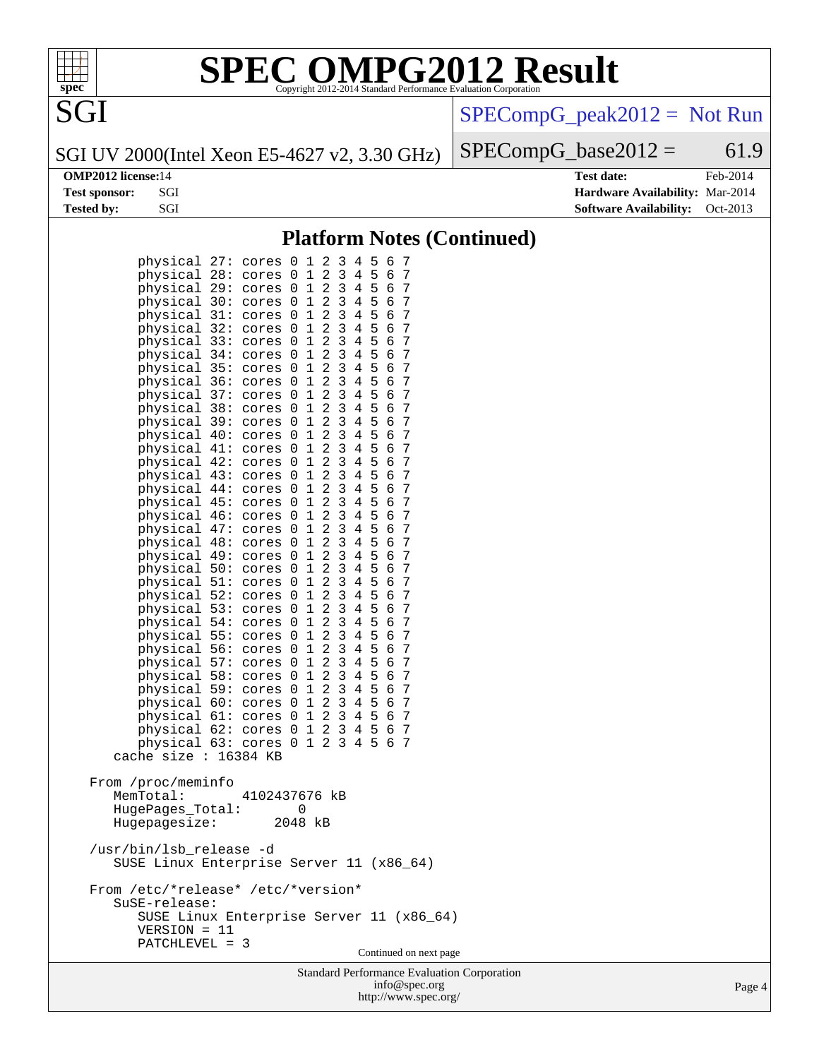

# **[SPEC OMPG2012 Result](http://www.spec.org/auto/omp2012/Docs/result-fields.html#SPECOMPG2012Result)**

[SPECompG\\_peak2012 =](http://www.spec.org/auto/omp2012/Docs/result-fields.html#SPECompGpeak2012) Not Run

SGI UV 2000(Intel Xeon E5-4627 v2, 3.30 GHz)

 $SPECompG_base2012 = 61.9$  $SPECompG_base2012 = 61.9$ 

**[OMP2012 license:](http://www.spec.org/auto/omp2012/Docs/result-fields.html#OMP2012license)**14 **[Test date:](http://www.spec.org/auto/omp2012/Docs/result-fields.html#Testdate)** Feb-2014 **[Test sponsor:](http://www.spec.org/auto/omp2012/Docs/result-fields.html#Testsponsor)** SGI **[Hardware Availability:](http://www.spec.org/auto/omp2012/Docs/result-fields.html#HardwareAvailability)** Mar-2014 **[Tested by:](http://www.spec.org/auto/omp2012/Docs/result-fields.html#Testedby)** SGI SOL SERVICE SERVICE SERVICE SERVICE SERVICE SERVICE SERVICE SERVICE SERVICE SERVICE SERVICE SERVICE SERVICE SERVICE SERVICE SERVICE SERVICE SERVICE SERVICE SERVICE SERVICE SERVICE SERVICE SERVICE SERVICE S

## **[Platform Notes \(Continued\)](http://www.spec.org/auto/omp2012/Docs/result-fields.html#PlatformNotes)**

| physical 27:<br>2<br>3<br>5<br>7<br>4<br>6<br>cores 0<br>1<br>2<br>$\mathbf{3}$<br>4 5<br>7<br>physical 28: cores 0<br>$\mathbf{1}$<br>6<br>$\sqrt{2}$<br>physical 29: cores 0 1<br>3 4 5<br>7<br>6<br>$\overline{c}$<br>4 5<br>physical 30:<br>$\overline{3}$<br>6<br>7<br>cores 0 1<br>$\mathbf{3}$<br>$\overline{a}$<br>4 5<br>physical 31: cores 0 1<br>6<br>7<br>$\overline{2}$<br>physical 32:<br>3<br>- 5<br>7<br>cores 0 1<br>4<br>6<br>$\overline{a}$<br>5<br>physical 33:<br>3<br>6<br>7<br>1<br>4<br>cores 0<br>$\overline{a}$<br>$\mathsf 3$<br>5<br>7<br>physical 34:<br>1<br>4<br>6<br>cores 0<br>$\overline{c}$<br>$\mathbf{3}$<br>5<br>physical 35:<br>$\mathbf 1$<br>7<br>4<br>6<br>cores 0<br>$\overline{c}$<br>5<br>physical 36:<br>3<br>4<br>6<br>7<br>1<br>cores 0<br>$\overline{a}$<br>$\mathsf 3$<br>5<br>7<br>physical 37: cores 0<br>$\mathbf 1$<br>4<br>6<br>$\overline{2}$<br>$\mathbf{3}$<br>5<br>physical 38:<br>$\mathbf 1$<br>7<br>4<br>6<br>cores 0<br>$\overline{c}$<br>$\mathbf{3}$<br>5<br>physical 39:<br>4<br>6<br>7<br>1<br>cores 0<br>$\overline{a}$<br>$\mathbf{3}$<br>5<br>$\epsilon$<br>7<br>physical 40:<br>1<br>4<br>cores 0<br>$\sqrt{2}$<br>$\overline{3}$<br>5<br>$\mathbf 1$<br>7<br>physical 41:<br>4<br>6<br>cores 0<br>$\overline{c}$<br>$\mathsf 3$<br>5<br>physical 42:<br>4<br>6<br>7<br>1<br>cores 0<br>$\overline{a}$<br>$\mathsf 3$<br>5<br>7<br>physical 43: cores 0<br>$\mathbf 1$<br>4<br>6<br>$\overline{2}$<br>$\mathbf{3}$<br>5<br>$\mathbf 1$<br>7<br>physical 44:<br>4<br>6<br>cores 0<br>$\overline{c}$<br>$\mathbf{3}$<br>5<br>physical 45:<br>4<br>6<br>7<br>1<br>cores 0<br>$\overline{a}$<br>$\mathbf{3}$<br>5<br>6<br>7<br>physical 46:<br>1<br>4<br>cores 0<br>$\overline{2}$<br>$\mathbf{3}$<br>5<br>$\mathbf 1$<br>7<br>physical 47:<br>4<br>6<br>cores 0<br>$\overline{c}$<br>$\mathsf 3$<br>5<br>physical 48:<br>4<br>6<br>7<br>1<br>cores 0<br>$\overline{a}$<br>$\mathsf 3$<br>5<br>7<br>physical 49: cores 0<br>$\mathbf 1$<br>4<br>6<br>$\overline{2}$<br>$\mathbf{3}$<br>5<br>physical 50:<br>$\mathbf 1$<br>7<br>4<br>6<br>cores 0<br>$\overline{a}$<br>$\mathbf{3}$<br>5<br>physical 51:<br>4<br>6<br>7<br>1<br>cores 0<br>$\overline{a}$<br>$\mathbf{3}$<br>physical 52: cores 0<br>5<br>6<br>7<br>1<br>4<br>$\overline{2}$<br>$\mathbf{3}$<br>physical 53:<br>$\mathbf 1$<br>5<br>7<br>4<br>6<br>cores 0<br>$\overline{c}$<br>$\mathsf 3$<br>5<br>physical 54: cores 0<br>4<br>6<br>7<br>1<br>$\overline{a}$<br>$\mathsf 3$<br>5<br>7<br>physical 55: cores 0<br>$\mathbf 1$<br>4<br>6<br>$\overline{2}$<br>$\mathbf{3}$<br>physical 56:<br>$\mathbf 1$<br>5<br>7<br>4<br>6<br>cores 0<br>$\overline{a}$<br>$\mathbf{3}$<br>5<br>physical 57: cores 0<br>6<br>7<br>1<br>4<br>$\overline{a}$<br>$\mathsf 3$<br>5<br>7<br>physical 58: cores 0<br>1<br>4<br>6<br>$\overline{2}$<br>$\mathbf{3}$<br>physical 59:<br>$\mathbf 1$<br>5<br>7<br>4<br>6<br>cores 0<br>$\overline{c}$<br>physical 60:<br>3<br>5<br>6<br>7<br>1<br>4<br>cores 0<br>$\overline{a}$<br>$\mathbf{3}$<br>5<br>physical 61: cores 0 1<br>4<br>6<br>7<br>$\overline{2}$<br>3<br>7<br>physical 62:<br>$\mathbf 1$<br>5<br>4<br>6<br>cores 0<br>$\overline{2}$<br>3<br>5<br>physical 63: cores 0<br>1<br>4<br>6<br>7<br>cache size : 16384 KB |  |  |  |  |  |  |  |  |  |
|---------------------------------------------------------------------------------------------------------------------------------------------------------------------------------------------------------------------------------------------------------------------------------------------------------------------------------------------------------------------------------------------------------------------------------------------------------------------------------------------------------------------------------------------------------------------------------------------------------------------------------------------------------------------------------------------------------------------------------------------------------------------------------------------------------------------------------------------------------------------------------------------------------------------------------------------------------------------------------------------------------------------------------------------------------------------------------------------------------------------------------------------------------------------------------------------------------------------------------------------------------------------------------------------------------------------------------------------------------------------------------------------------------------------------------------------------------------------------------------------------------------------------------------------------------------------------------------------------------------------------------------------------------------------------------------------------------------------------------------------------------------------------------------------------------------------------------------------------------------------------------------------------------------------------------------------------------------------------------------------------------------------------------------------------------------------------------------------------------------------------------------------------------------------------------------------------------------------------------------------------------------------------------------------------------------------------------------------------------------------------------------------------------------------------------------------------------------------------------------------------------------------------------------------------------------------------------------------------------------------------------------------------------------------------------------------------------------------------------------------------------------------------------------------------------------------------------------------------------------------------------------------------------------------------------------------------------------------------------------------------------------------------------------------------------------------------------------------------------------------------------------------------------------------------------------------------------------------------------------------------------------------------------------------------|--|--|--|--|--|--|--|--|--|
| From /proc/meminfo<br>4102437676 kB<br>MemTotal:<br>HugePages_Total:<br>0<br>2048 kB<br>Hugepagesize:                                                                                                                                                                                                                                                                                                                                                                                                                                                                                                                                                                                                                                                                                                                                                                                                                                                                                                                                                                                                                                                                                                                                                                                                                                                                                                                                                                                                                                                                                                                                                                                                                                                                                                                                                                                                                                                                                                                                                                                                                                                                                                                                                                                                                                                                                                                                                                                                                                                                                                                                                                                                                                                                                                                                                                                                                                                                                                                                                                                                                                                                                                                                                                                             |  |  |  |  |  |  |  |  |  |
| /usr/bin/lsb_release -d<br>SUSE Linux Enterprise Server 11 (x86_64)                                                                                                                                                                                                                                                                                                                                                                                                                                                                                                                                                                                                                                                                                                                                                                                                                                                                                                                                                                                                                                                                                                                                                                                                                                                                                                                                                                                                                                                                                                                                                                                                                                                                                                                                                                                                                                                                                                                                                                                                                                                                                                                                                                                                                                                                                                                                                                                                                                                                                                                                                                                                                                                                                                                                                                                                                                                                                                                                                                                                                                                                                                                                                                                                                               |  |  |  |  |  |  |  |  |  |
| From /etc/*release* /etc/*version*<br>SuSE-release:<br>SUSE Linux Enterprise Server 11 (x86_64)<br>$VERSION = 11$<br>PATCHLEVEL = 3                                                                                                                                                                                                                                                                                                                                                                                                                                                                                                                                                                                                                                                                                                                                                                                                                                                                                                                                                                                                                                                                                                                                                                                                                                                                                                                                                                                                                                                                                                                                                                                                                                                                                                                                                                                                                                                                                                                                                                                                                                                                                                                                                                                                                                                                                                                                                                                                                                                                                                                                                                                                                                                                                                                                                                                                                                                                                                                                                                                                                                                                                                                                                               |  |  |  |  |  |  |  |  |  |
| Continued on next page<br>Standard Darformange Evaluation Compration                                                                                                                                                                                                                                                                                                                                                                                                                                                                                                                                                                                                                                                                                                                                                                                                                                                                                                                                                                                                                                                                                                                                                                                                                                                                                                                                                                                                                                                                                                                                                                                                                                                                                                                                                                                                                                                                                                                                                                                                                                                                                                                                                                                                                                                                                                                                                                                                                                                                                                                                                                                                                                                                                                                                                                                                                                                                                                                                                                                                                                                                                                                                                                                                                              |  |  |  |  |  |  |  |  |  |

Standard Performance Evaluation Corporation [info@spec.org](mailto:info@spec.org) <http://www.spec.org/>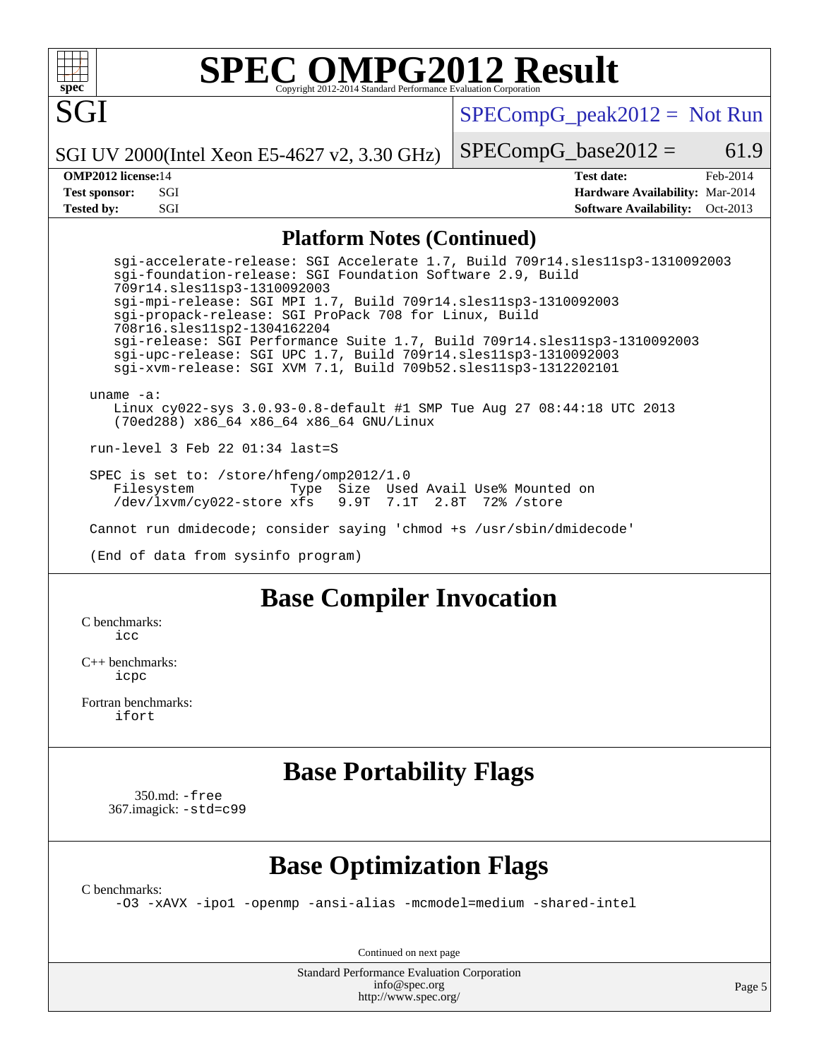

# **[SPEC OMPG2012 Result](http://www.spec.org/auto/omp2012/Docs/result-fields.html#SPECOMPG2012Result)**

[SPECompG\\_peak2012 =](http://www.spec.org/auto/omp2012/Docs/result-fields.html#SPECompGpeak2012) Not Run

 $SPECompG_base2012 = 61.9$  $SPECompG_base2012 = 61.9$ 

SGI UV 2000(Intel Xeon E5-4627 v2, 3.30 GHz)

**[Tested by:](http://www.spec.org/auto/omp2012/Docs/result-fields.html#Testedby)** SGI SOL SGI SERVICE SERVICE SERVICE SERVICE SERVICE SERVICE SERVICE SERVICE SERVICE SERVICE SERVICE SERVICE SERVICE SERVICE SERVICE SERVICE SERVICE SERVICE SERVICE SERVICE SERVICE SERVICE SERVICE SERVICE SERVI

**[OMP2012 license:](http://www.spec.org/auto/omp2012/Docs/result-fields.html#OMP2012license)**14 **[Test date:](http://www.spec.org/auto/omp2012/Docs/result-fields.html#Testdate)** Feb-2014 **[Test sponsor:](http://www.spec.org/auto/omp2012/Docs/result-fields.html#Testsponsor)** SGI **[Hardware Availability:](http://www.spec.org/auto/omp2012/Docs/result-fields.html#HardwareAvailability)** Mar-2014

### **[Platform Notes \(Continued\)](http://www.spec.org/auto/omp2012/Docs/result-fields.html#PlatformNotes)**

 sgi-accelerate-release: SGI Accelerate 1.7, Build 709r14.sles11sp3-1310092003 sgi-foundation-release: SGI Foundation Software 2.9, Build 709r14.sles11sp3-1310092003 sgi-mpi-release: SGI MPI 1.7, Build 709r14.sles11sp3-1310092003 sgi-propack-release: SGI ProPack 708 for Linux, Build 708r16.sles11sp2-1304162204 sgi-release: SGI Performance Suite 1.7, Build 709r14.sles11sp3-1310092003 sgi-upc-release: SGI UPC 1.7, Build 709r14.sles11sp3-1310092003 sgi-xvm-release: SGI XVM 7.1, Build 709b52.sles11sp3-1312202101 uname -a:

 Linux cy022-sys 3.0.93-0.8-default #1 SMP Tue Aug 27 08:44:18 UTC 2013 (70ed288) x86\_64 x86\_64 x86\_64 GNU/Linux

run-level 3 Feb 22 01:34 last=S

 SPEC is set to: /store/hfeng/omp2012/1.0 Filesystem Type Size Used Avail Use% Mounted on /dev/lxvm/cy022-store xfs

Cannot run dmidecode; consider saying 'chmod +s /usr/sbin/dmidecode'

(End of data from sysinfo program)

## **[Base Compiler Invocation](http://www.spec.org/auto/omp2012/Docs/result-fields.html#BaseCompilerInvocation)**

[C benchmarks](http://www.spec.org/auto/omp2012/Docs/result-fields.html#Cbenchmarks):  $i$ cc

[C++ benchmarks:](http://www.spec.org/auto/omp2012/Docs/result-fields.html#CXXbenchmarks) [icpc](http://www.spec.org/omp2012/results/res2014q1/omp2012-20140226-00045.flags.html#user_CXXbase_intel_icpc_2d899f8d163502b12eb4a60069f80c1c)

[Fortran benchmarks](http://www.spec.org/auto/omp2012/Docs/result-fields.html#Fortranbenchmarks): [ifort](http://www.spec.org/omp2012/results/res2014q1/omp2012-20140226-00045.flags.html#user_FCbase_intel_ifort_8a5e5e06b19a251bdeaf8fdab5d62f20)

## **[Base Portability Flags](http://www.spec.org/auto/omp2012/Docs/result-fields.html#BasePortabilityFlags)**

 350.md: [-free](http://www.spec.org/omp2012/results/res2014q1/omp2012-20140226-00045.flags.html#user_baseFPORTABILITY350_md_free) 367.imagick: [-std=c99](http://www.spec.org/omp2012/results/res2014q1/omp2012-20140226-00045.flags.html#user_baseCPORTABILITY367_imagick_std_2ec6533b6e06f1c4a6c9b78d9e9cde24)

## **[Base Optimization Flags](http://www.spec.org/auto/omp2012/Docs/result-fields.html#BaseOptimizationFlags)**

[C benchmarks](http://www.spec.org/auto/omp2012/Docs/result-fields.html#Cbenchmarks):

[-O3](http://www.spec.org/omp2012/results/res2014q1/omp2012-20140226-00045.flags.html#user_CCbase_f-O3) [-xAVX](http://www.spec.org/omp2012/results/res2014q1/omp2012-20140226-00045.flags.html#user_CCbase_f-xAVX) [-ipo1](http://www.spec.org/omp2012/results/res2014q1/omp2012-20140226-00045.flags.html#user_CCbase_f-ipo_116921c2575d566c213f1dd5e08493d2) [-openmp](http://www.spec.org/omp2012/results/res2014q1/omp2012-20140226-00045.flags.html#user_CCbase_f-openmp) [-ansi-alias](http://www.spec.org/omp2012/results/res2014q1/omp2012-20140226-00045.flags.html#user_CCbase_f-ansi-alias) [-mcmodel=medium](http://www.spec.org/omp2012/results/res2014q1/omp2012-20140226-00045.flags.html#user_CCbase_f-mcmodel_3a41622424bdd074c4f0f2d2f224c7e5) [-shared-intel](http://www.spec.org/omp2012/results/res2014q1/omp2012-20140226-00045.flags.html#user_CCbase_f-shared-intel)

Continued on next page

Standard Performance Evaluation Corporation [info@spec.org](mailto:info@spec.org) <http://www.spec.org/>

Page 5